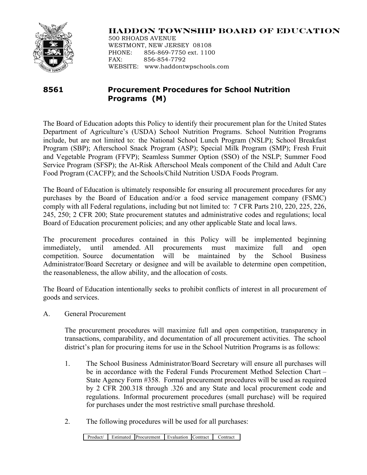

# **HADDON TOWNSHIP BOARD OF EDUCATION**

500 RHOADS AVENUE WESTMONT, NEW JERSEY 08108 PHONE: 856-869-7750 ext. 1100 FAX: 856-854-7792 WEBSITE: www.haddontwpschools.com

# **8561 Procurement Procedures for School Nutrition Programs (M)**

The Board of Education adopts this Policy to identify their procurement plan for the United States Department of Agriculture's (USDA) School Nutrition Programs. School Nutrition Programs include, but are not limited to: the National School Lunch Program (NSLP); School Breakfast Program (SBP); Afterschool Snack Program (ASP); Special Milk Program (SMP); Fresh Fruit and Vegetable Program (FFVP); Seamless Summer Option (SSO) of the NSLP; Summer Food Service Program (SFSP); the At-Risk Afterschool Meals component of the Child and Adult Care Food Program (CACFP); and the Schools/Child Nutrition USDA Foods Program.

The Board of Education is ultimately responsible for ensuring all procurement procedures for any purchases by the Board of Education and/or a food service management company (FSMC) comply with all Federal regulations, including but not limited to: 7 CFR Parts 210, 220, 225, 226, 245, 250; 2 CFR 200; State procurement statutes and administrative codes and regulations; local Board of Education procurement policies; and any other applicable State and local laws.

The procurement procedures contained in this Policy will be implemented beginning immediately, until amended. All procurements must maximize full and open competition. Source documentation will be maintained by the School Business Administrator/Board Secretary or designee and will be available to determine open competition, the reasonableness, the allow ability, and the allocation of costs.

The Board of Education intentionally seeks to prohibit conflicts of interest in all procurement of goods and services.

A. General Procurement

The procurement procedures will maximize full and open competition, transparency in transactions, comparability, and documentation of all procurement activities. The school district's plan for procuring items for use in the School Nutrition Programs is as follows:

- 1. The School Business Administrator/Board Secretary will ensure all purchases will be in accordance with the Federal Funds Procurement Method Selection Chart – State Agency Form #358. Formal procurement procedures will be used as required by 2 CFR 200.318 through .326 and any State and local procurement code and regulations. Informal procurement procedures (small purchase) will be required for purchases under the most restrictive small purchase threshold.
- 2. The following procedures will be used for all purchases:

Product/ Estimated Procurement Evaluation Contract Contract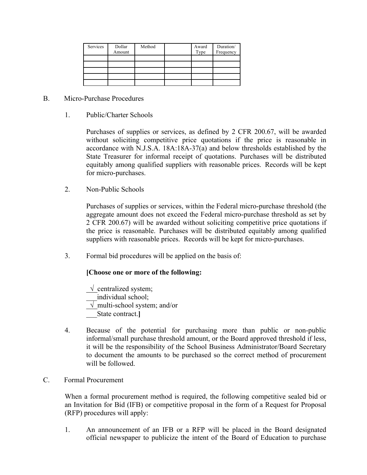| Services | Dollar<br>Amount | Method | Award<br>Type | Duration/<br>Frequency |
|----------|------------------|--------|---------------|------------------------|
|          |                  |        |               |                        |
|          |                  |        |               |                        |
|          |                  |        |               |                        |
|          |                  |        |               |                        |
|          |                  |        |               |                        |

#### B. Micro-Purchase Procedures

1. Public/Charter Schools

Purchases of supplies or services, as defined by 2 CFR 200.67, will be awarded without soliciting competitive price quotations if the price is reasonable in accordance with N.J.S.A. 18A:18A-37(a) and below thresholds established by the State Treasurer for informal receipt of quotations. Purchases will be distributed equitably among qualified suppliers with reasonable prices. Records will be kept for micro-purchases.

2. Non-Public Schools

Purchases of supplies or services, within the Federal micro-purchase threshold (the aggregate amount does not exceed the Federal micro-purchase threshold as set by 2 CFR 200.67) will be awarded without soliciting competitive price quotations if the price is reasonable. Purchases will be distributed equitably among qualified suppliers with reasonable prices. Records will be kept for micro-purchases.

3. Formal bid procedures will be applied on the basis of:

#### **[Choose one or more of the following:**

- $\sqrt{\overline{\phantom{a}}\,$ centralized system; individual school;  $\sqrt{\frac{multi-schoolsystem}}$ ; and/or \_\_\_State contract.**]**
- 4. Because of the potential for purchasing more than public or non-public informal/small purchase threshold amount, or the Board approved threshold if less, it will be the responsibility of the School Business Administrator/Board Secretary to document the amounts to be purchased so the correct method of procurement will be followed.
- C. Formal Procurement

When a formal procurement method is required, the following competitive sealed bid or an Invitation for Bid (IFB) or competitive proposal in the form of a Request for Proposal (RFP) procedures will apply:

1. An announcement of an IFB or a RFP will be placed in the Board designated official newspaper to publicize the intent of the Board of Education to purchase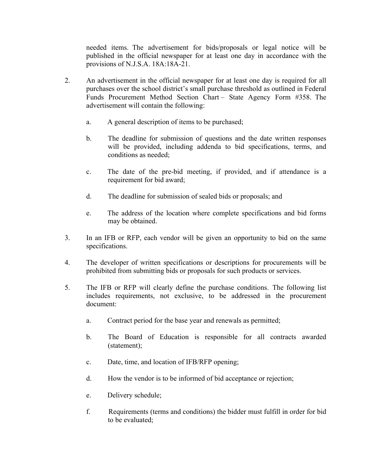needed items. The advertisement for bids/proposals or legal notice will be published in the official newspaper for at least one day in accordance with the provisions of N.J.S.A. 18A:18A-21.

- 2. An advertisement in the official newspaper for at least one day is required for all purchases over the school district's small purchase threshold as outlined in Federal Funds Procurement Method Section Chart – State Agency Form #358. The advertisement will contain the following:
	- a. A general description of items to be purchased;
	- b. The deadline for submission of questions and the date written responses will be provided, including addenda to bid specifications, terms, and conditions as needed;
	- c. The date of the pre-bid meeting, if provided, and if attendance is a requirement for bid award;
	- d. The deadline for submission of sealed bids or proposals; and
	- e. The address of the location where complete specifications and bid forms may be obtained.
- 3. In an IFB or RFP, each vendor will be given an opportunity to bid on the same specifications.
- 4. The developer of written specifications or descriptions for procurements will be prohibited from submitting bids or proposals for such products or services.
- 5. The IFB or RFP will clearly define the purchase conditions. The following list includes requirements, not exclusive, to be addressed in the procurement document:
	- a. Contract period for the base year and renewals as permitted;
	- b. The Board of Education is responsible for all contracts awarded (statement);
	- c. Date, time, and location of IFB/RFP opening;
	- d. How the vendor is to be informed of bid acceptance or rejection;
	- e. Delivery schedule;
	- f. Requirements (terms and conditions) the bidder must fulfill in order for bid to be evaluated;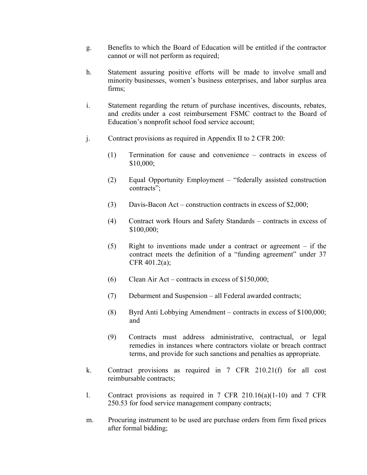- g. Benefits to which the Board of Education will be entitled if the contractor cannot or will not perform as required;
- h. Statement assuring positive efforts will be made to involve small and minority businesses, women's business enterprises, and labor surplus area firms;
- i. Statement regarding the return of purchase incentives, discounts, rebates, and credits under a cost reimbursement FSMC contract to the Board of Education's nonprofit school food service account;
- j. Contract provisions as required in Appendix II to 2 CFR 200:
	- (1) Termination for cause and convenience contracts in excess of \$10,000;
	- (2) Equal Opportunity Employment "federally assisted construction contracts";
	- (3) Davis-Bacon Act construction contracts in excess of \$2,000;
	- (4) Contract work Hours and Safety Standards contracts in excess of \$100,000;
	- (5) Right to inventions made under a contract or agreement if the contract meets the definition of a "funding agreement" under 37 CFR 401.2(a);
	- (6) Clean Air Act contracts in excess of \$150,000;
	- (7) Debarment and Suspension all Federal awarded contracts;
	- (8) Byrd Anti Lobbying Amendment contracts in excess of \$100,000; and
	- (9) Contracts must address administrative, contractual, or legal remedies in instances where contractors violate or breach contract terms, and provide for such sanctions and penalties as appropriate.
- k. Contract provisions as required in 7 CFR 210.21(f) for all cost reimbursable contracts;
- l. Contract provisions as required in 7 CFR 210.16(a)(1-10) and 7 CFR 250.53 for food service management company contracts;
- m. Procuring instrument to be used are purchase orders from firm fixed prices after formal bidding;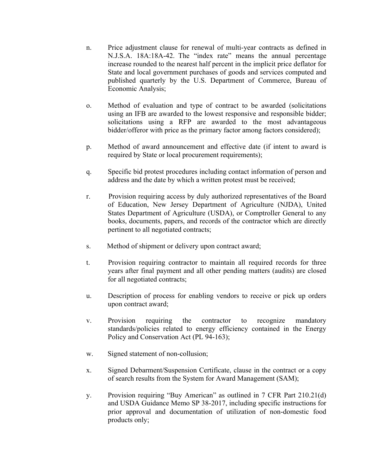- n. Price adjustment clause for renewal of multi-year contracts as defined in N.J.S.A. 18A:18A-42. The "index rate" means the annual percentage increase rounded to the nearest half percent in the implicit price deflator for State and local government purchases of goods and services computed and published quarterly by the U.S. Department of Commerce, Bureau of Economic Analysis;
- o. Method of evaluation and type of contract to be awarded (solicitations using an IFB are awarded to the lowest responsive and responsible bidder; solicitations using a RFP are awarded to the most advantageous bidder/offeror with price as the primary factor among factors considered);
- p. Method of award announcement and effective date (if intent to award is required by State or local procurement requirements);
- q. Specific bid protest procedures including contact information of person and address and the date by which a written protest must be received;
- r. Provision requiring access by duly authorized representatives of the Board of Education, New Jersey Department of Agriculture (NJDA), United States Department of Agriculture (USDA), or Comptroller General to any books, documents, papers, and records of the contractor which are directly pertinent to all negotiated contracts;
- s. Method of shipment or delivery upon contract award;
- t. Provision requiring contractor to maintain all required records for three years after final payment and all other pending matters (audits) are closed for all negotiated contracts;
- u. Description of process for enabling vendors to receive or pick up orders upon contract award;
- v. Provision requiring the contractor to recognize mandatory standards/policies related to energy efficiency contained in the Energy Policy and Conservation Act (PL 94-163);
- w. Signed statement of non-collusion;
- x. Signed Debarment/Suspension Certificate, clause in the contract or a copy of search results from the System for Award Management (SAM);
- y. Provision requiring "Buy American" as outlined in 7 CFR Part 210.21(d) and USDA Guidance Memo SP 38-2017, including specific instructions for prior approval and documentation of utilization of non-domestic food products only;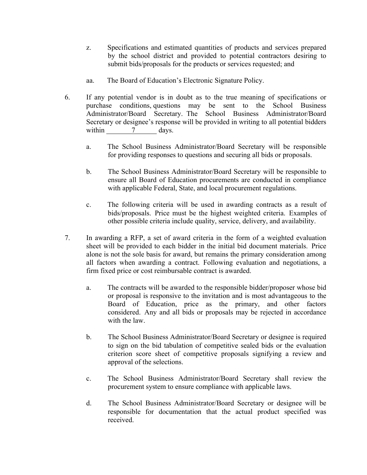- z. Specifications and estimated quantities of products and services prepared by the school district and provided to potential contractors desiring to submit bids/proposals for the products or services requested; and
- aa. The Board of Education's Electronic Signature Policy.
- 6. If any potential vendor is in doubt as to the true meaning of specifications or purchase conditions, questions may be sent to the School Business Administrator/Board Secretary. The School Business Administrator/Board Secretary or designee's response will be provided in writing to all potential bidders within  $\frac{7}{2}$  days.
	- a. The School Business Administrator/Board Secretary will be responsible for providing responses to questions and securing all bids or proposals.
	- b. The School Business Administrator/Board Secretary will be responsible to ensure all Board of Education procurements are conducted in compliance with applicable Federal, State, and local procurement regulations.
	- c. The following criteria will be used in awarding contracts as a result of bids/proposals. Price must be the highest weighted criteria. Examples of other possible criteria include quality, service, delivery, and availability.
- 7. In awarding a RFP, a set of award criteria in the form of a weighted evaluation sheet will be provided to each bidder in the initial bid document materials. Price alone is not the sole basis for award, but remains the primary consideration among all factors when awarding a contract. Following evaluation and negotiations, a firm fixed price or cost reimbursable contract is awarded.
	- a. The contracts will be awarded to the responsible bidder/proposer whose bid or proposal is responsive to the invitation and is most advantageous to the Board of Education, price as the primary, and other factors considered. Any and all bids or proposals may be rejected in accordance with the law.
	- b. The School Business Administrator/Board Secretary or designee is required to sign on the bid tabulation of competitive sealed bids or the evaluation criterion score sheet of competitive proposals signifying a review and approval of the selections.
	- c. The School Business Administrator/Board Secretary shall review the procurement system to ensure compliance with applicable laws.
	- d. The School Business Administrator/Board Secretary or designee will be responsible for documentation that the actual product specified was received.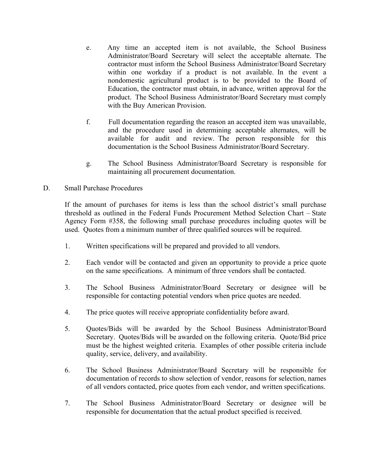- e. Any time an accepted item is not available, the School Business Administrator/Board Secretary will select the acceptable alternate. The contractor must inform the School Business Administrator/Board Secretary within one workday if a product is not available. In the event a nondomestic agricultural product is to be provided to the Board of Education, the contractor must obtain, in advance, written approval for the product. The School Business Administrator/Board Secretary must comply with the Buy American Provision.
- f. Full documentation regarding the reason an accepted item was unavailable, and the procedure used in determining acceptable alternates, will be available for audit and review. The person responsible for this documentation is the School Business Administrator/Board Secretary.
- g. The School Business Administrator/Board Secretary is responsible for maintaining all procurement documentation.
- D. Small Purchase Procedures

If the amount of purchases for items is less than the school district's small purchase threshold as outlined in the Federal Funds Procurement Method Selection Chart – State Agency Form #358, the following small purchase procedures including quotes will be used. Quotes from a minimum number of three qualified sources will be required.

- 1. Written specifications will be prepared and provided to all vendors.
- 2. Each vendor will be contacted and given an opportunity to provide a price quote on the same specifications. A minimum of three vendors shall be contacted.
- 3. The School Business Administrator/Board Secretary or designee will be responsible for contacting potential vendors when price quotes are needed.
- 4. The price quotes will receive appropriate confidentiality before award.
- 5. Quotes/Bids will be awarded by the School Business Administrator/Board Secretary. Quotes/Bids will be awarded on the following criteria. Quote/Bid price must be the highest weighted criteria. Examples of other possible criteria include quality, service, delivery, and availability.
- 6. The School Business Administrator/Board Secretary will be responsible for documentation of records to show selection of vendor, reasons for selection, names of all vendors contacted, price quotes from each vendor, and written specifications.
- 7. The School Business Administrator/Board Secretary or designee will be responsible for documentation that the actual product specified is received.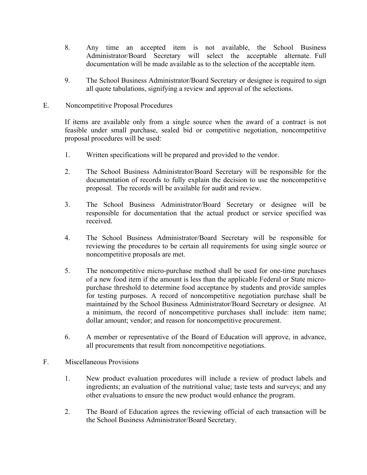- 8. Any time an accepted item is not available, the School Business Administrator/Board Secretary will select the acceptable alternate. Full documentation will be made available as to the selection of the acceptable item.
- 9. The School Business Administrator/Board Secretary or designee is required to sign all quote tabulations, signifying a review and approval of the selections.

### E. Noncompetitive Proposal Procedures

If items are available only from a single source when the award of a contract is not feasible under small purchase, sealed bid or competitive negotiation, noncompetitive proposal procedures will be used:

- 1. Written specifications will be prepared and provided to the vendor.
- 2. The School Business Administrator/Board Secretary will be responsible for the documentation of records to fully explain the decision to use the noncompetitive proposal. The records will be available for audit and review.
- 3. The School Business Administrator/Board Secretary or designee will be responsible for documentation that the actual product or service specified was received.
- 4. The School Business Administrator/Board Secretary will be responsible for reviewing the procedures to be certain all requirements for using single source or noncompetitive proposals are met.
- 5. The noncompetitive micro-purchase method shall be used for one-time purchases of a new food item if the amount is less than the applicable Federal or State micropurchase threshold to determine food acceptance by students and provide samples for testing purposes. A record of noncompetitive negotiation purchase shall be maintained by the School Business Administrator/Board Secretary or designee. At a minimum, the record of noncompetitive purchases shall include: item name; dollar amount; vendor; and reason for noncompetitive procurement.
- 6. A member or representative of the Board of Education will approve, in advance, all procurements that result from noncompetitive negotiations.
- F. Miscellaneous Provisions
	- 1. New product evaluation procedures will include a review of product labels and ingredients; an evaluation of the nutritional value; taste tests and surveys; and any other evaluations to ensure the new product would enhance the program.
	- 2. The Board of Education agrees the reviewing official of each transaction will be the School Business Administrator/Board Secretary.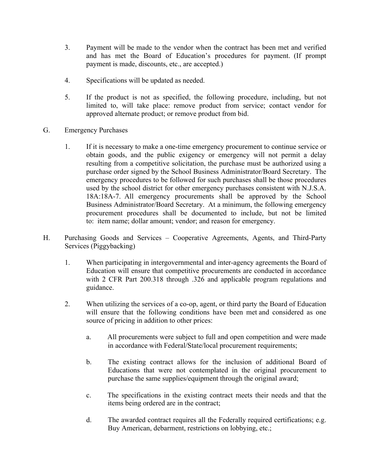- 3. Payment will be made to the vendor when the contract has been met and verified and has met the Board of Education's procedures for payment. (If prompt payment is made, discounts, etc., are accepted.)
- 4. Specifications will be updated as needed.
- 5. If the product is not as specified, the following procedure, including, but not limited to, will take place: remove product from service; contact vendor for approved alternate product; or remove product from bid.
- G. Emergency Purchases
	- 1. If it is necessary to make a one-time emergency procurement to continue service or obtain goods, and the public exigency or emergency will not permit a delay resulting from a competitive solicitation, the purchase must be authorized using a purchase order signed by the School Business Administrator/Board Secretary. The emergency procedures to be followed for such purchases shall be those procedures used by the school district for other emergency purchases consistent with N.J.S.A. 18A:18A-7. All emergency procurements shall be approved by the School Business Administrator/Board Secretary. At a minimum, the following emergency procurement procedures shall be documented to include, but not be limited to: item name; dollar amount; vendor; and reason for emergency.
- H. Purchasing Goods and Services Cooperative Agreements, Agents, and Third-Party Services (Piggybacking)
	- 1. When participating in intergovernmental and inter-agency agreements the Board of Education will ensure that competitive procurements are conducted in accordance with 2 CFR Part 200.318 through .326 and applicable program regulations and guidance.
	- 2. When utilizing the services of a co-op, agent, or third party the Board of Education will ensure that the following conditions have been met and considered as one source of pricing in addition to other prices:
		- a. All procurements were subject to full and open competition and were made in accordance with Federal/State/local procurement requirements;
		- b. The existing contract allows for the inclusion of additional Board of Educations that were not contemplated in the original procurement to purchase the same supplies/equipment through the original award;
		- c. The specifications in the existing contract meets their needs and that the items being ordered are in the contract;
		- d. The awarded contract requires all the Federally required certifications; e.g. Buy American, debarment, restrictions on lobbying, etc.;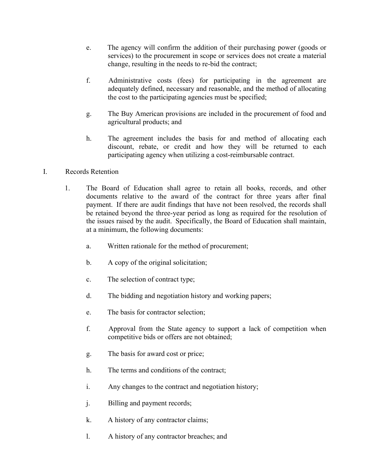- e. The agency will confirm the addition of their purchasing power (goods or services) to the procurement in scope or services does not create a material change, resulting in the needs to re-bid the contract;
- f. Administrative costs (fees) for participating in the agreement are adequately defined, necessary and reasonable, and the method of allocating the cost to the participating agencies must be specified;
- g. The Buy American provisions are included in the procurement of food and agricultural products; and
- h. The agreement includes the basis for and method of allocating each discount, rebate, or credit and how they will be returned to each participating agency when utilizing a cost-reimbursable contract.
- I. Records Retention
	- 1. The Board of Education shall agree to retain all books, records, and other documents relative to the award of the contract for three years after final payment. If there are audit findings that have not been resolved, the records shall be retained beyond the three-year period as long as required for the resolution of the issues raised by the audit. Specifically, the Board of Education shall maintain, at a minimum, the following documents:
		- a. Written rationale for the method of procurement;
		- b. A copy of the original solicitation;
		- c. The selection of contract type;
		- d. The bidding and negotiation history and working papers;
		- e. The basis for contractor selection;
		- f. Approval from the State agency to support a lack of competition when competitive bids or offers are not obtained;
		- g. The basis for award cost or price;
		- h. The terms and conditions of the contract;
		- i. Any changes to the contract and negotiation history;
		- j. Billing and payment records;
		- k. A history of any contractor claims;
		- l. A history of any contractor breaches; and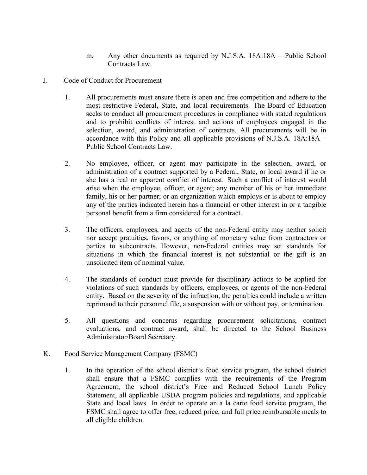- m. Any other documents as required by N.J.S.A. 18A:18A Public School Contracts Law.
- J. Code of Conduct for Procurement
	- 1. All procurements must ensure there is open and free competition and adhere to the most restrictive Federal, State, and local requirements. The Board of Education seeks to conduct all procurement procedures in compliance with stated regulations and to prohibit conflicts of interest and actions of employees engaged in the selection, award, and administration of contracts. All procurements will be in accordance with this Policy and all applicable provisions of N.J.S.A. 18A:18A – Public School Contracts Law.
	- 2. No employee, officer, or agent may participate in the selection, award, or administration of a contract supported by a Federal, State, or local award if he or she has a real or apparent conflict of interest. Such a conflict of interest would arise when the employee, officer, or agent; any member of his or her immediate family, his or her partner; or an organization which employs or is about to employ any of the parties indicated herein has a financial or other interest in or a tangible personal benefit from a firm considered for a contract.
	- 3. The officers, employees, and agents of the non-Federal entity may neither solicit nor accept gratuities, favors, or anything of monetary value from contractors or parties to subcontracts. However, non-Federal entities may set standards for situations in which the financial interest is not substantial or the gift is an unsolicited item of nominal value.
	- 4. The standards of conduct must provide for disciplinary actions to be applied for violations of such standards by officers, employees, or agents of the non-Federal entity. Based on the severity of the infraction, the penalties could include a written reprimand to their personnel file, a suspension with or without pay, or termination.
	- 5. All questions and concerns regarding procurement solicitations, contract evaluations, and contract award, shall be directed to the School Business Administrator/Board Secretary.
- K. Food Service Management Company (FSMC)
	- 1. In the operation of the school district's food service program, the school district shall ensure that a FSMC complies with the requirements of the Program Agreement, the school district's Free and Reduced School Lunch Policy Statement, all applicable USDA program policies and regulations, and applicable State and local laws. In order to operate an a la carte food service program, the FSMC shall agree to offer free, reduced price, and full price reimbursable meals to all eligible children.